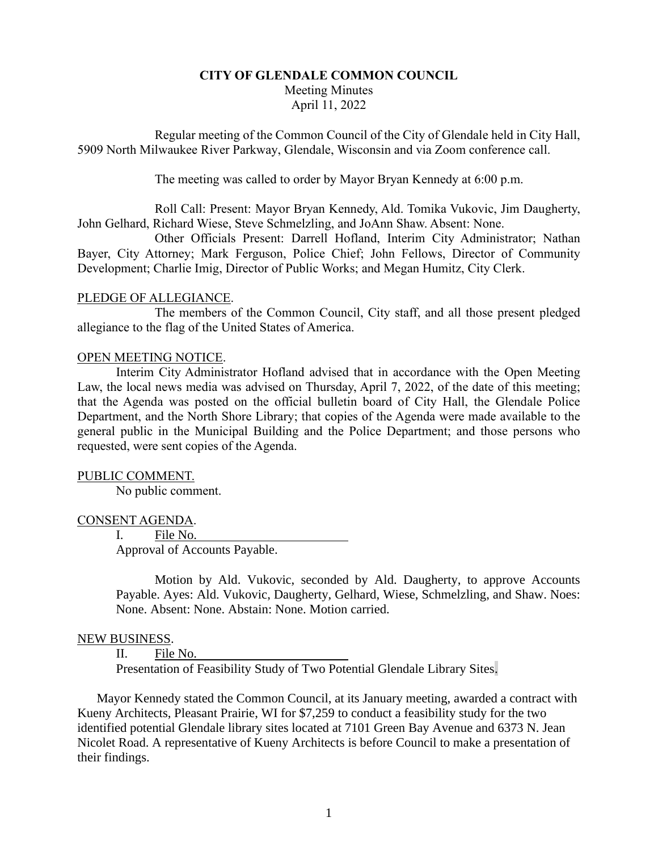# **CITY OF GLENDALE COMMON COUNCIL** Meeting Minutes April 11, 2022

Regular meeting of the Common Council of the City of Glendale held in City Hall, 5909 North Milwaukee River Parkway, Glendale, Wisconsin and via Zoom conference call.

The meeting was called to order by Mayor Bryan Kennedy at 6:00 p.m.

Roll Call: Present: Mayor Bryan Kennedy, Ald. Tomika Vukovic, Jim Daugherty, John Gelhard, Richard Wiese, Steve Schmelzling, and JoAnn Shaw. Absent: None.

Other Officials Present: Darrell Hofland, Interim City Administrator; Nathan Bayer, City Attorney; Mark Ferguson, Police Chief; John Fellows, Director of Community Development; Charlie Imig, Director of Public Works; and Megan Humitz, City Clerk.

# PLEDGE OF ALLEGIANCE.

The members of the Common Council, City staff, and all those present pledged allegiance to the flag of the United States of America.

# OPEN MEETING NOTICE.

Interim City Administrator Hofland advised that in accordance with the Open Meeting Law, the local news media was advised on Thursday, April 7, 2022, of the date of this meeting; that the Agenda was posted on the official bulletin board of City Hall, the Glendale Police Department, and the North Shore Library; that copies of the Agenda were made available to the general public in the Municipal Building and the Police Department; and those persons who requested, were sent copies of the Agenda.

### PUBLIC COMMENT.

No public comment.

## CONSENT AGENDA.

I. File No.

Approval of Accounts Payable.

Motion by Ald. Vukovic, seconded by Ald. Daugherty, to approve Accounts Payable. Ayes: Ald. Vukovic, Daugherty, Gelhard, Wiese, Schmelzling, and Shaw. Noes: None. Absent: None. Abstain: None. Motion carried.

### NEW BUSINESS.

II. File No.

Presentation of Feasibility Study of Two Potential Glendale Library Sites.

Mayor Kennedy stated the Common Council, at its January meeting, awarded a contract with Kueny Architects, Pleasant Prairie, WI for \$7,259 to conduct a feasibility study for the two identified potential Glendale library sites located at 7101 Green Bay Avenue and 6373 N. Jean Nicolet Road. A representative of Kueny Architects is before Council to make a presentation of their findings.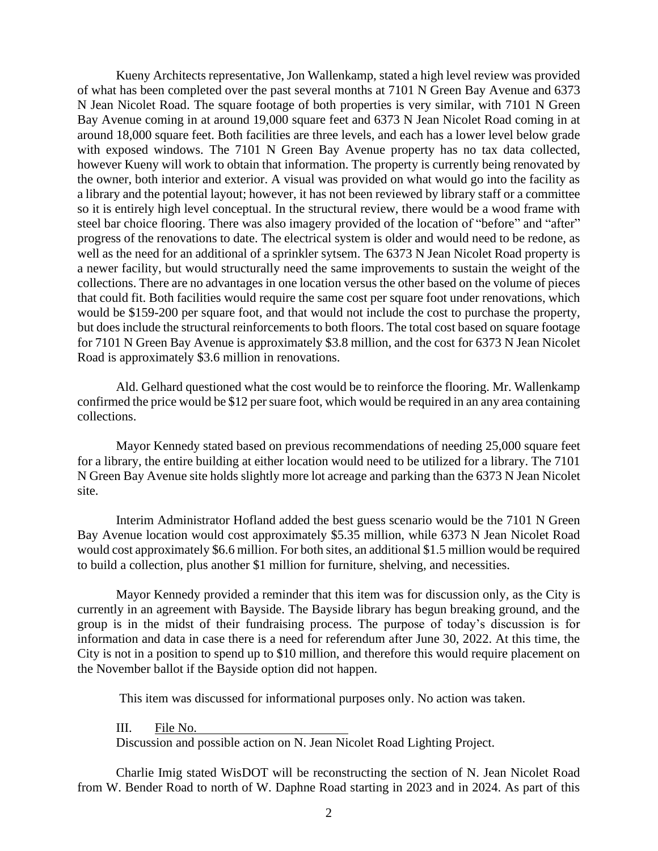Kueny Architects representative, Jon Wallenkamp, stated a high level review was provided of what has been completed over the past several months at 7101 N Green Bay Avenue and 6373 N Jean Nicolet Road. The square footage of both properties is very similar, with 7101 N Green Bay Avenue coming in at around 19,000 square feet and 6373 N Jean Nicolet Road coming in at around 18,000 square feet. Both facilities are three levels, and each has a lower level below grade with exposed windows. The 7101 N Green Bay Avenue property has no tax data collected, however Kueny will work to obtain that information. The property is currently being renovated by the owner, both interior and exterior. A visual was provided on what would go into the facility as a library and the potential layout; however, it has not been reviewed by library staff or a committee so it is entirely high level conceptual. In the structural review, there would be a wood frame with steel bar choice flooring. There was also imagery provided of the location of "before" and "after" progress of the renovations to date. The electrical system is older and would need to be redone, as well as the need for an additional of a sprinkler sytsem. The 6373 N Jean Nicolet Road property is a newer facility, but would structurally need the same improvements to sustain the weight of the collections. There are no advantages in one location versus the other based on the volume of pieces that could fit. Both facilities would require the same cost per square foot under renovations, which would be \$159-200 per square foot, and that would not include the cost to purchase the property, but does include the structural reinforcements to both floors. The total cost based on square footage for 7101 N Green Bay Avenue is approximately \$3.8 million, and the cost for 6373 N Jean Nicolet Road is approximately \$3.6 million in renovations.

Ald. Gelhard questioned what the cost would be to reinforce the flooring. Mr. Wallenkamp confirmed the price would be \$12 per suare foot, which would be required in an any area containing collections.

Mayor Kennedy stated based on previous recommendations of needing 25,000 square feet for a library, the entire building at either location would need to be utilized for a library. The 7101 N Green Bay Avenue site holds slightly more lot acreage and parking than the 6373 N Jean Nicolet site.

Interim Administrator Hofland added the best guess scenario would be the 7101 N Green Bay Avenue location would cost approximately \$5.35 million, while 6373 N Jean Nicolet Road would cost approximately \$6.6 million. For both sites, an additional \$1.5 million would be required to build a collection, plus another \$1 million for furniture, shelving, and necessities.

Mayor Kennedy provided a reminder that this item was for discussion only, as the City is currently in an agreement with Bayside. The Bayside library has begun breaking ground, and the group is in the midst of their fundraising process. The purpose of today's discussion is for information and data in case there is a need for referendum after June 30, 2022. At this time, the City is not in a position to spend up to \$10 million, and therefore this would require placement on the November ballot if the Bayside option did not happen.

This item was discussed for informational purposes only. No action was taken.

III. File No. Discussion and possible action on N. Jean Nicolet Road Lighting Project.

Charlie Imig stated WisDOT will be reconstructing the section of N. Jean Nicolet Road from W. Bender Road to north of W. Daphne Road starting in 2023 and in 2024. As part of this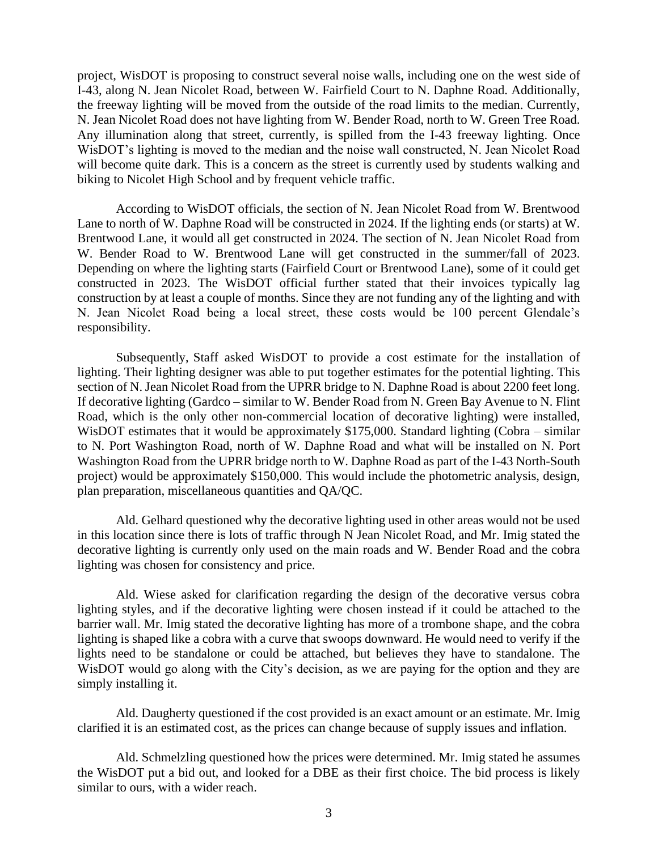project, WisDOT is proposing to construct several noise walls, including one on the west side of I-43, along N. Jean Nicolet Road, between W. Fairfield Court to N. Daphne Road. Additionally, the freeway lighting will be moved from the outside of the road limits to the median. Currently, N. Jean Nicolet Road does not have lighting from W. Bender Road, north to W. Green Tree Road. Any illumination along that street, currently, is spilled from the I-43 freeway lighting. Once WisDOT's lighting is moved to the median and the noise wall constructed, N. Jean Nicolet Road will become quite dark. This is a concern as the street is currently used by students walking and biking to Nicolet High School and by frequent vehicle traffic.

According to WisDOT officials, the section of N. Jean Nicolet Road from W. Brentwood Lane to north of W. Daphne Road will be constructed in 2024. If the lighting ends (or starts) at W. Brentwood Lane, it would all get constructed in 2024. The section of N. Jean Nicolet Road from W. Bender Road to W. Brentwood Lane will get constructed in the summer/fall of 2023. Depending on where the lighting starts (Fairfield Court or Brentwood Lane), some of it could get constructed in 2023. The WisDOT official further stated that their invoices typically lag construction by at least a couple of months. Since they are not funding any of the lighting and with N. Jean Nicolet Road being a local street, these costs would be 100 percent Glendale's responsibility.

Subsequently, Staff asked WisDOT to provide a cost estimate for the installation of lighting. Their lighting designer was able to put together estimates for the potential lighting. This section of N. Jean Nicolet Road from the UPRR bridge to N. Daphne Road is about 2200 feet long. If decorative lighting (Gardco – similar to W. Bender Road from N. Green Bay Avenue to N. Flint Road, which is the only other non-commercial location of decorative lighting) were installed, WisDOT estimates that it would be approximately \$175,000. Standard lighting (Cobra – similar to N. Port Washington Road, north of W. Daphne Road and what will be installed on N. Port Washington Road from the UPRR bridge north to W. Daphne Road as part of the I-43 North-South project) would be approximately \$150,000. This would include the photometric analysis, design, plan preparation, miscellaneous quantities and QA/QC.

Ald. Gelhard questioned why the decorative lighting used in other areas would not be used in this location since there is lots of traffic through N Jean Nicolet Road, and Mr. Imig stated the decorative lighting is currently only used on the main roads and W. Bender Road and the cobra lighting was chosen for consistency and price.

Ald. Wiese asked for clarification regarding the design of the decorative versus cobra lighting styles, and if the decorative lighting were chosen instead if it could be attached to the barrier wall. Mr. Imig stated the decorative lighting has more of a trombone shape, and the cobra lighting is shaped like a cobra with a curve that swoops downward. He would need to verify if the lights need to be standalone or could be attached, but believes they have to standalone. The WisDOT would go along with the City's decision, as we are paying for the option and they are simply installing it.

Ald. Daugherty questioned if the cost provided is an exact amount or an estimate. Mr. Imig clarified it is an estimated cost, as the prices can change because of supply issues and inflation.

Ald. Schmelzling questioned how the prices were determined. Mr. Imig stated he assumes the WisDOT put a bid out, and looked for a DBE as their first choice. The bid process is likely similar to ours, with a wider reach.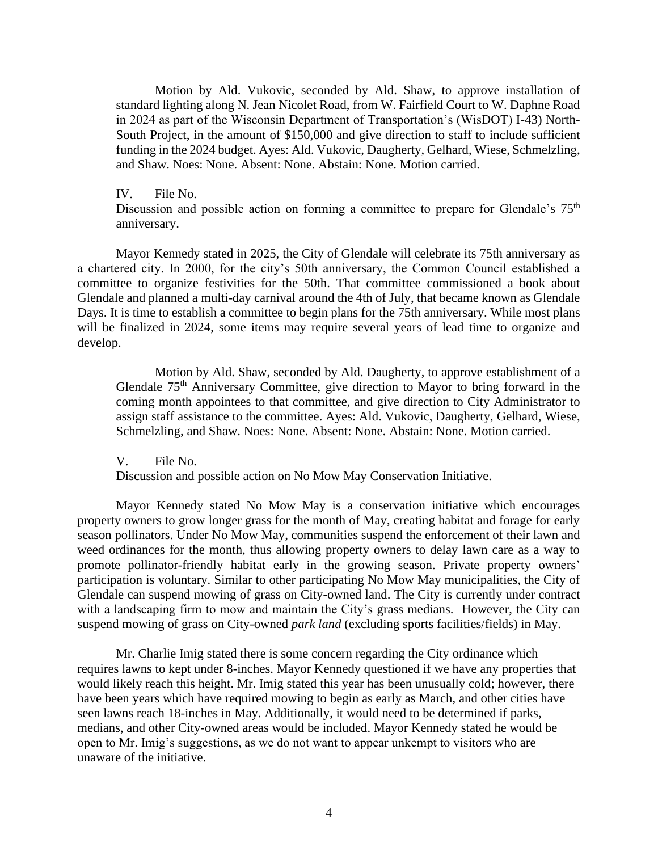Motion by Ald. Vukovic, seconded by Ald. Shaw, to approve installation of standard lighting along N. Jean Nicolet Road, from W. Fairfield Court to W. Daphne Road in 2024 as part of the Wisconsin Department of Transportation's (WisDOT) I-43) North-South Project, in the amount of \$150,000 and give direction to staff to include sufficient funding in the 2024 budget. Ayes: Ald. Vukovic, Daugherty, Gelhard, Wiese, Schmelzling, and Shaw. Noes: None. Absent: None. Abstain: None. Motion carried.

IV. File No.

Discussion and possible action on forming a committee to prepare for Glendale's 75<sup>th</sup> anniversary.

Mayor Kennedy stated in 2025, the City of Glendale will celebrate its 75th anniversary as a chartered city. In 2000, for the city's 50th anniversary, the Common Council established a committee to organize festivities for the 50th. That committee commissioned a book about Glendale and planned a multi-day carnival around the 4th of July, that became known as Glendale Days. It is time to establish a committee to begin plans for the 75th anniversary. While most plans will be finalized in 2024, some items may require several years of lead time to organize and develop.

Motion by Ald. Shaw, seconded by Ald. Daugherty, to approve establishment of a Glendale 75<sup>th</sup> Anniversary Committee, give direction to Mayor to bring forward in the coming month appointees to that committee, and give direction to City Administrator to assign staff assistance to the committee. Ayes: Ald. Vukovic, Daugherty, Gelhard, Wiese, Schmelzling, and Shaw. Noes: None. Absent: None. Abstain: None. Motion carried.

V. File No.

Discussion and possible action on No Mow May Conservation Initiative.

Mayor Kennedy stated No Mow May is a conservation initiative which encourages property owners to grow longer grass for the month of May, creating habitat and forage for early season pollinators. Under No Mow May, communities suspend the enforcement of their lawn and weed ordinances for the month, thus allowing property owners to delay lawn care as a way to promote pollinator-friendly habitat early in the growing season. Private property owners' participation is voluntary. Similar to other participating No Mow May municipalities, the City of Glendale can suspend mowing of grass on City-owned land. The City is currently under contract with a landscaping firm to mow and maintain the City's grass medians. However, the City can suspend mowing of grass on City-owned *park land* (excluding sports facilities/fields) in May.

Mr. Charlie Imig stated there is some concern regarding the City ordinance which requires lawns to kept under 8-inches. Mayor Kennedy questioned if we have any properties that would likely reach this height. Mr. Imig stated this year has been unusually cold; however, there have been years which have required mowing to begin as early as March, and other cities have seen lawns reach 18-inches in May. Additionally, it would need to be determined if parks, medians, and other City-owned areas would be included. Mayor Kennedy stated he would be open to Mr. Imig's suggestions, as we do not want to appear unkempt to visitors who are unaware of the initiative.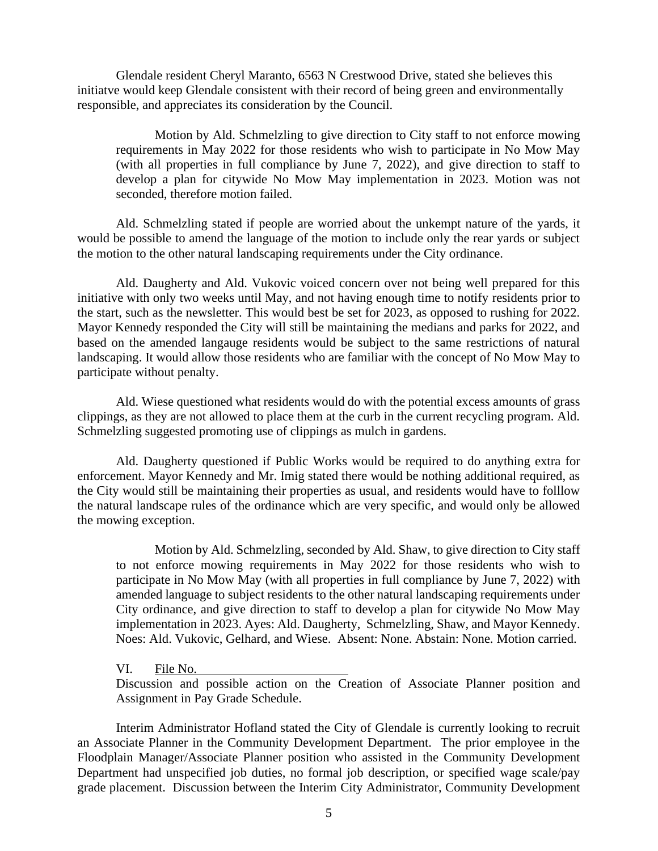Glendale resident Cheryl Maranto, 6563 N Crestwood Drive, stated she believes this initiatve would keep Glendale consistent with their record of being green and environmentally responsible, and appreciates its consideration by the Council.

Motion by Ald. Schmelzling to give direction to City staff to not enforce mowing requirements in May 2022 for those residents who wish to participate in No Mow May (with all properties in full compliance by June 7, 2022), and give direction to staff to develop a plan for citywide No Mow May implementation in 2023. Motion was not seconded, therefore motion failed.

Ald. Schmelzling stated if people are worried about the unkempt nature of the yards, it would be possible to amend the language of the motion to include only the rear yards or subject the motion to the other natural landscaping requirements under the City ordinance.

Ald. Daugherty and Ald. Vukovic voiced concern over not being well prepared for this initiative with only two weeks until May, and not having enough time to notify residents prior to the start, such as the newsletter. This would best be set for 2023, as opposed to rushing for 2022. Mayor Kennedy responded the City will still be maintaining the medians and parks for 2022, and based on the amended langauge residents would be subject to the same restrictions of natural landscaping. It would allow those residents who are familiar with the concept of No Mow May to participate without penalty.

Ald. Wiese questioned what residents would do with the potential excess amounts of grass clippings, as they are not allowed to place them at the curb in the current recycling program. Ald. Schmelzling suggested promoting use of clippings as mulch in gardens.

Ald. Daugherty questioned if Public Works would be required to do anything extra for enforcement. Mayor Kennedy and Mr. Imig stated there would be nothing additional required, as the City would still be maintaining their properties as usual, and residents would have to folllow the natural landscape rules of the ordinance which are very specific, and would only be allowed the mowing exception.

Motion by Ald. Schmelzling, seconded by Ald. Shaw, to give direction to City staff to not enforce mowing requirements in May 2022 for those residents who wish to participate in No Mow May (with all properties in full compliance by June 7, 2022) with amended language to subject residents to the other natural landscaping requirements under City ordinance, and give direction to staff to develop a plan for citywide No Mow May implementation in 2023. Ayes: Ald. Daugherty, Schmelzling, Shaw, and Mayor Kennedy. Noes: Ald. Vukovic, Gelhard, and Wiese. Absent: None. Abstain: None. Motion carried.

# VI. File No.

Discussion and possible action on the Creation of Associate Planner position and Assignment in Pay Grade Schedule.

Interim Administrator Hofland stated the City of Glendale is currently looking to recruit an Associate Planner in the Community Development Department. The prior employee in the Floodplain Manager/Associate Planner position who assisted in the Community Development Department had unspecified job duties, no formal job description, or specified wage scale/pay grade placement. Discussion between the Interim City Administrator, Community Development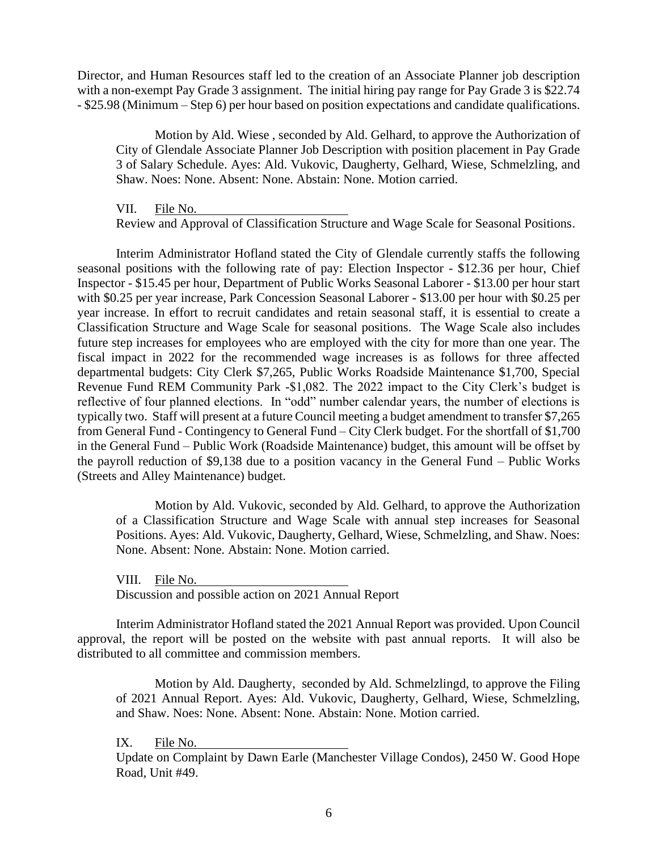Director, and Human Resources staff led to the creation of an Associate Planner job description with a non-exempt Pay Grade 3 assignment. The initial hiring pay range for Pay Grade 3 is \$22.74 - \$25.98 (Minimum – Step 6) per hour based on position expectations and candidate qualifications.

Motion by Ald. Wiese , seconded by Ald. Gelhard, to approve the Authorization of City of Glendale Associate Planner Job Description with position placement in Pay Grade 3 of Salary Schedule. Ayes: Ald. Vukovic, Daugherty, Gelhard, Wiese, Schmelzling, and Shaw. Noes: None. Absent: None. Abstain: None. Motion carried.

VII. File No.

Review and Approval of Classification Structure and Wage Scale for Seasonal Positions.

Interim Administrator Hofland stated the City of Glendale currently staffs the following seasonal positions with the following rate of pay: Election Inspector - \$12.36 per hour, Chief Inspector - \$15.45 per hour, Department of Public Works Seasonal Laborer - \$13.00 per hour start with \$0.25 per year increase, Park Concession Seasonal Laborer - \$13.00 per hour with \$0.25 per year increase. In effort to recruit candidates and retain seasonal staff, it is essential to create a Classification Structure and Wage Scale for seasonal positions. The Wage Scale also includes future step increases for employees who are employed with the city for more than one year. The fiscal impact in 2022 for the recommended wage increases is as follows for three affected departmental budgets: City Clerk \$7,265, Public Works Roadside Maintenance \$1,700, Special Revenue Fund REM Community Park -\$1,082. The 2022 impact to the City Clerk's budget is reflective of four planned elections. In "odd" number calendar years, the number of elections is typically two. Staff will present at a future Council meeting a budget amendment to transfer \$7,265 from General Fund - Contingency to General Fund – City Clerk budget. For the shortfall of \$1,700 in the General Fund – Public Work (Roadside Maintenance) budget, this amount will be offset by the payroll reduction of \$9,138 due to a position vacancy in the General Fund – Public Works (Streets and Alley Maintenance) budget.

Motion by Ald. Vukovic, seconded by Ald. Gelhard, to approve the Authorization of a Classification Structure and Wage Scale with annual step increases for Seasonal Positions. Ayes: Ald. Vukovic, Daugherty, Gelhard, Wiese, Schmelzling, and Shaw. Noes: None. Absent: None. Abstain: None. Motion carried.

VIII. File No. Discussion and possible action on 2021 Annual Report

Interim Administrator Hofland stated the 2021 Annual Report was provided. Upon Council approval, the report will be posted on the website with past annual reports. It will also be distributed to all committee and commission members.

Motion by Ald. Daugherty, seconded by Ald. Schmelzlingd, to approve the Filing of 2021 Annual Report. Ayes: Ald. Vukovic, Daugherty, Gelhard, Wiese, Schmelzling, and Shaw. Noes: None. Absent: None. Abstain: None. Motion carried.

IX. File No.

Update on Complaint by Dawn Earle (Manchester Village Condos), 2450 W. Good Hope Road, Unit #49.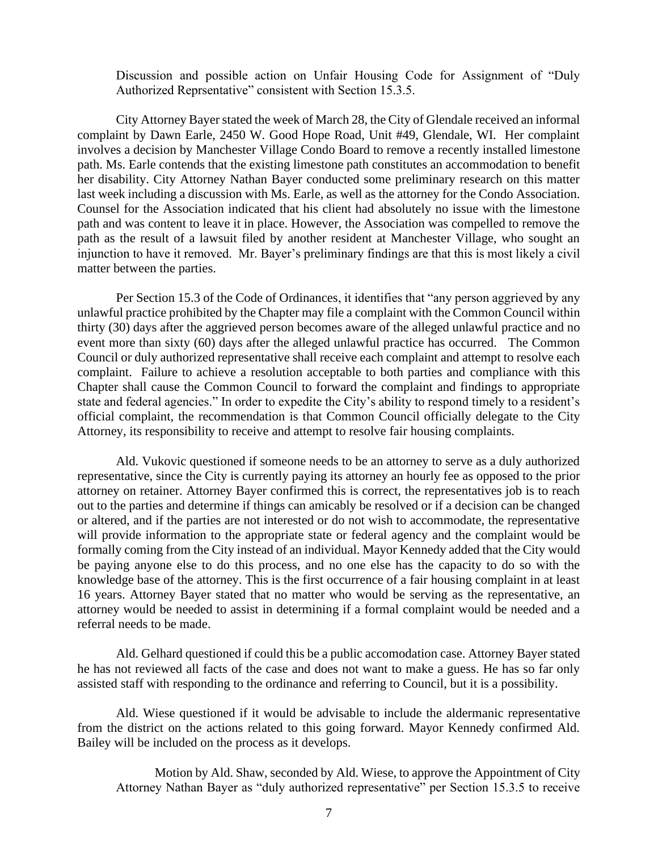Discussion and possible action on Unfair Housing Code for Assignment of "Duly Authorized Reprsentative" consistent with Section 15.3.5.

City Attorney Bayer stated the week of March 28, the City of Glendale received an informal complaint by Dawn Earle, 2450 W. Good Hope Road, Unit #49, Glendale, WI. Her complaint involves a decision by Manchester Village Condo Board to remove a recently installed limestone path. Ms. Earle contends that the existing limestone path constitutes an accommodation to benefit her disability. City Attorney Nathan Bayer conducted some preliminary research on this matter last week including a discussion with Ms. Earle, as well as the attorney for the Condo Association. Counsel for the Association indicated that his client had absolutely no issue with the limestone path and was content to leave it in place. However, the Association was compelled to remove the path as the result of a lawsuit filed by another resident at Manchester Village, who sought an injunction to have it removed. Mr. Bayer's preliminary findings are that this is most likely a civil matter between the parties.

Per Section 15.3 of the Code of Ordinances, it identifies that "any person aggrieved by any unlawful practice prohibited by the Chapter may file a complaint with the Common Council within thirty (30) days after the aggrieved person becomes aware of the alleged unlawful practice and no event more than sixty (60) days after the alleged unlawful practice has occurred. The Common Council or duly authorized representative shall receive each complaint and attempt to resolve each complaint. Failure to achieve a resolution acceptable to both parties and compliance with this Chapter shall cause the Common Council to forward the complaint and findings to appropriate state and federal agencies." In order to expedite the City's ability to respond timely to a resident's official complaint, the recommendation is that Common Council officially delegate to the City Attorney, its responsibility to receive and attempt to resolve fair housing complaints.

Ald. Vukovic questioned if someone needs to be an attorney to serve as a duly authorized representative, since the City is currently paying its attorney an hourly fee as opposed to the prior attorney on retainer. Attorney Bayer confirmed this is correct, the representatives job is to reach out to the parties and determine if things can amicably be resolved or if a decision can be changed or altered, and if the parties are not interested or do not wish to accommodate, the representative will provide information to the appropriate state or federal agency and the complaint would be formally coming from the City instead of an individual. Mayor Kennedy added that the City would be paying anyone else to do this process, and no one else has the capacity to do so with the knowledge base of the attorney. This is the first occurrence of a fair housing complaint in at least 16 years. Attorney Bayer stated that no matter who would be serving as the representative, an attorney would be needed to assist in determining if a formal complaint would be needed and a referral needs to be made.

Ald. Gelhard questioned if could this be a public accomodation case. Attorney Bayer stated he has not reviewed all facts of the case and does not want to make a guess. He has so far only assisted staff with responding to the ordinance and referring to Council, but it is a possibility.

Ald. Wiese questioned if it would be advisable to include the aldermanic representative from the district on the actions related to this going forward. Mayor Kennedy confirmed Ald. Bailey will be included on the process as it develops.

Motion by Ald. Shaw, seconded by Ald. Wiese, to approve the Appointment of City Attorney Nathan Bayer as "duly authorized representative" per Section 15.3.5 to receive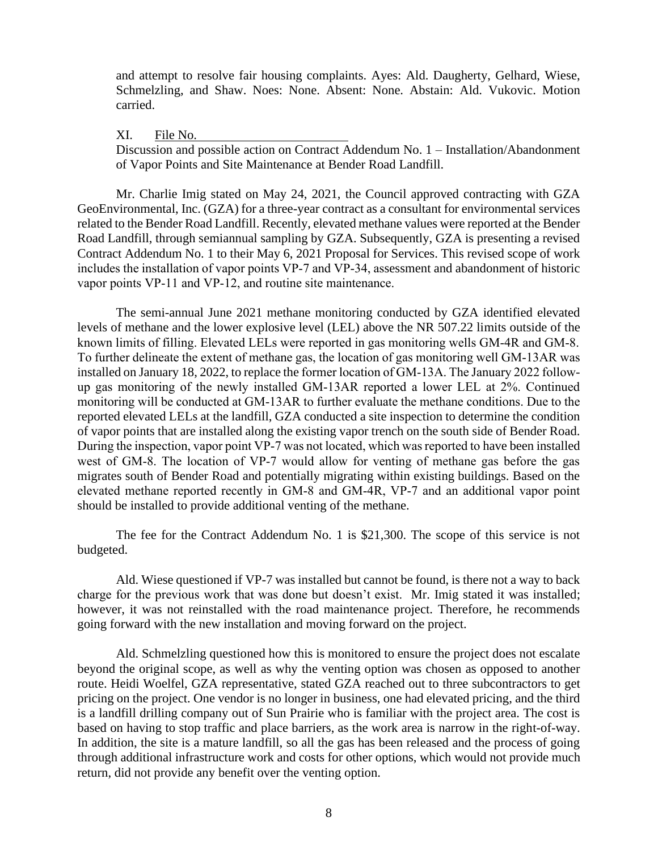and attempt to resolve fair housing complaints. Ayes: Ald. Daugherty, Gelhard, Wiese, Schmelzling, and Shaw. Noes: None. Absent: None. Abstain: Ald. Vukovic. Motion carried.

XI. File No.

Discussion and possible action on Contract Addendum No. 1 – Installation/Abandonment of Vapor Points and Site Maintenance at Bender Road Landfill.

Mr. Charlie Imig stated on May 24, 2021, the Council approved contracting with GZA GeoEnvironmental, Inc. (GZA) for a three-year contract as a consultant for environmental services related to the Bender Road Landfill. Recently, elevated methane values were reported at the Bender Road Landfill, through semiannual sampling by GZA. Subsequently, GZA is presenting a revised Contract Addendum No. 1 to their May 6, 2021 Proposal for Services. This revised scope of work includes the installation of vapor points VP‐7 and VP‐34, assessment and abandonment of historic vapor points VP-11 and VP-12, and routine site maintenance.

The semi-annual June 2021 methane monitoring conducted by GZA identified elevated levels of methane and the lower explosive level (LEL) above the NR 507.22 limits outside of the known limits of filling. Elevated LELs were reported in gas monitoring wells GM‐4R and GM‐8. To further delineate the extent of methane gas, the location of gas monitoring well GM‐13AR was installed on January 18, 2022, to replace the former location of GM‐13A. The January 2022 followup gas monitoring of the newly installed GM‐13AR reported a lower LEL at 2%. Continued monitoring will be conducted at GM‐13AR to further evaluate the methane conditions. Due to the reported elevated LELs at the landfill, GZA conducted a site inspection to determine the condition of vapor points that are installed along the existing vapor trench on the south side of Bender Road. During the inspection, vapor point VP-7 was not located, which was reported to have been installed west of GM-8. The location of VP-7 would allow for venting of methane gas before the gas migrates south of Bender Road and potentially migrating within existing buildings. Based on the elevated methane reported recently in GM‐8 and GM‐4R, VP‐7 and an additional vapor point should be installed to provide additional venting of the methane.

The fee for the Contract Addendum No. 1 is \$21,300. The scope of this service is not budgeted.

Ald. Wiese questioned if VP-7 was installed but cannot be found, is there not a way to back charge for the previous work that was done but doesn't exist. Mr. Imig stated it was installed; however, it was not reinstalled with the road maintenance project. Therefore, he recommends going forward with the new installation and moving forward on the project.

Ald. Schmelzling questioned how this is monitored to ensure the project does not escalate beyond the original scope, as well as why the venting option was chosen as opposed to another route. Heidi Woelfel, GZA representative, stated GZA reached out to three subcontractors to get pricing on the project. One vendor is no longer in business, one had elevated pricing, and the third is a landfill drilling company out of Sun Prairie who is familiar with the project area. The cost is based on having to stop traffic and place barriers, as the work area is narrow in the right-of-way. In addition, the site is a mature landfill, so all the gas has been released and the process of going through additional infrastructure work and costs for other options, which would not provide much return, did not provide any benefit over the venting option.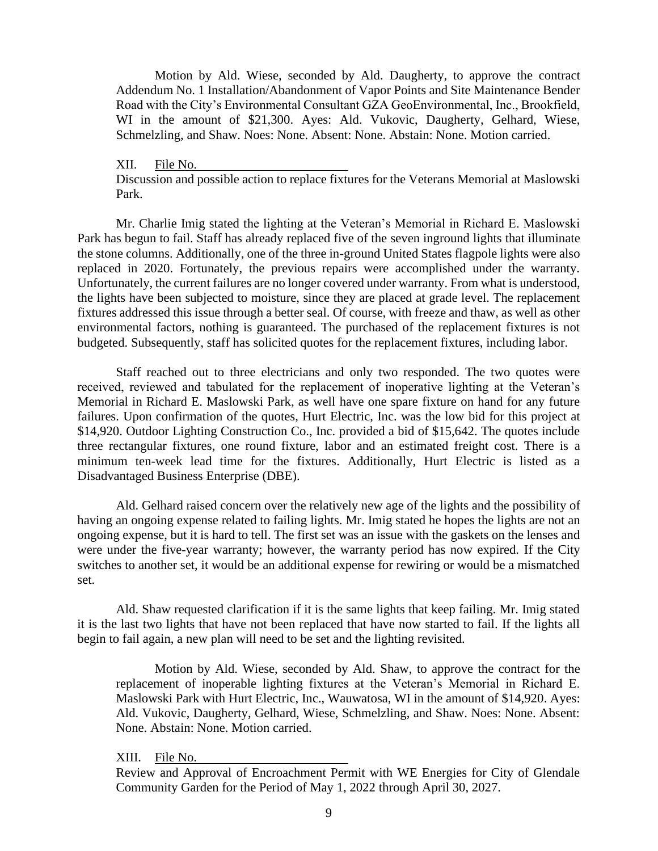Motion by Ald. Wiese, seconded by Ald. Daugherty, to approve the contract Addendum No. 1 Installation/Abandonment of Vapor Points and Site Maintenance Bender Road with the City's Environmental Consultant GZA GeoEnvironmental, Inc., Brookfield, WI in the amount of \$21,300. Ayes: Ald. Vukovic, Daugherty, Gelhard, Wiese, Schmelzling, and Shaw. Noes: None. Absent: None. Abstain: None. Motion carried.

XII. File No.

Discussion and possible action to replace fixtures for the Veterans Memorial at Maslowski Park.

Mr. Charlie Imig stated the lighting at the Veteran's Memorial in Richard E. Maslowski Park has begun to fail. Staff has already replaced five of the seven inground lights that illuminate the stone columns. Additionally, one of the three in-ground United States flagpole lights were also replaced in 2020. Fortunately, the previous repairs were accomplished under the warranty. Unfortunately, the current failures are no longer covered under warranty. From what is understood, the lights have been subjected to moisture, since they are placed at grade level. The replacement fixtures addressed this issue through a better seal. Of course, with freeze and thaw, as well as other environmental factors, nothing is guaranteed. The purchased of the replacement fixtures is not budgeted. Subsequently, staff has solicited quotes for the replacement fixtures, including labor.

Staff reached out to three electricians and only two responded. The two quotes were received, reviewed and tabulated for the replacement of inoperative lighting at the Veteran's Memorial in Richard E. Maslowski Park, as well have one spare fixture on hand for any future failures. Upon confirmation of the quotes, Hurt Electric, Inc. was the low bid for this project at \$14,920. Outdoor Lighting Construction Co., Inc. provided a bid of \$15,642. The quotes include three rectangular fixtures, one round fixture, labor and an estimated freight cost. There is a minimum ten-week lead time for the fixtures. Additionally, Hurt Electric is listed as a Disadvantaged Business Enterprise (DBE).

Ald. Gelhard raised concern over the relatively new age of the lights and the possibility of having an ongoing expense related to failing lights. Mr. Imig stated he hopes the lights are not an ongoing expense, but it is hard to tell. The first set was an issue with the gaskets on the lenses and were under the five-year warranty; however, the warranty period has now expired. If the City switches to another set, it would be an additional expense for rewiring or would be a mismatched set.

Ald. Shaw requested clarification if it is the same lights that keep failing. Mr. Imig stated it is the last two lights that have not been replaced that have now started to fail. If the lights all begin to fail again, a new plan will need to be set and the lighting revisited.

Motion by Ald. Wiese, seconded by Ald. Shaw, to approve the contract for the replacement of inoperable lighting fixtures at the Veteran's Memorial in Richard E. Maslowski Park with Hurt Electric, Inc., Wauwatosa, WI in the amount of \$14,920. Ayes: Ald. Vukovic, Daugherty, Gelhard, Wiese, Schmelzling, and Shaw. Noes: None. Absent: None. Abstain: None. Motion carried.

XIII. File No.

Review and Approval of Encroachment Permit with WE Energies for City of Glendale Community Garden for the Period of May 1, 2022 through April 30, 2027.